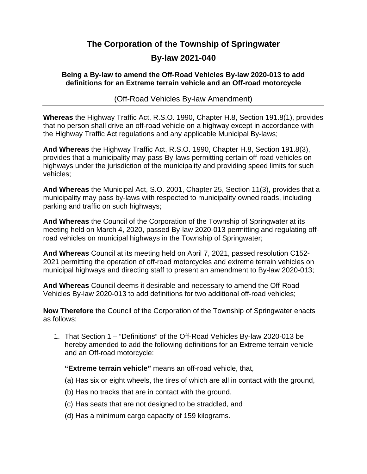## **The Corporation of the Township of Springwater**

## **By-law 2021-040**

## **Being a By-law to amend the Off-Road Vehicles By-law 2020-013 to add definitions for an Extreme terrain vehicle and an Off-road motorcycle**

(Off-Road Vehicles By-law Amendment)

**Whereas** the Highway Traffic Act, R.S.O. 1990, Chapter H.8, Section 191.8(1), provides that no person shall drive an off-road vehicle on a highway except in accordance with the Highway Traffic Act regulations and any applicable Municipal By-laws;

**And Whereas** the Highway Traffic Act, R.S.O. 1990, Chapter H.8, Section 191.8(3), provides that a municipality may pass By-laws permitting certain off-road vehicles on highways under the jurisdiction of the municipality and providing speed limits for such vehicles;

**And Whereas** the Municipal Act, S.O. 2001, Chapter 25, Section 11(3), provides that a municipality may pass by-laws with respected to municipality owned roads, including parking and traffic on such highways;

**And Whereas** the Council of the Corporation of the Township of Springwater at its meeting held on March 4, 2020, passed By-law 2020-013 permitting and regulating offroad vehicles on municipal highways in the Township of Springwater;

**And Whereas** Council at its meeting held on April 7, 2021, passed resolution C152- 2021 permitting the operation of off-road motorcycles and extreme terrain vehicles on municipal highways and directing staff to present an amendment to By-law 2020-013;

**And Whereas** Council deems it desirable and necessary to amend the Off-Road Vehicles By-law 2020-013 to add definitions for two additional off-road vehicles;

**Now Therefore** the Council of the Corporation of the Township of Springwater enacts as follows:

1. That Section 1 – "Definitions" of the Off-Road Vehicles By-law 2020-013 be hereby amended to add the following definitions for an Extreme terrain vehicle and an Off-road motorcycle:

**"Extreme terrain vehicle"** means an off-road vehicle, that,

- (a) Has six or eight wheels, the tires of which are all in contact with the ground,
- (b) Has no tracks that are in contact with the ground,
- (c) Has seats that are not designed to be straddled, and
- (d) Has a minimum cargo capacity of 159 kilograms.